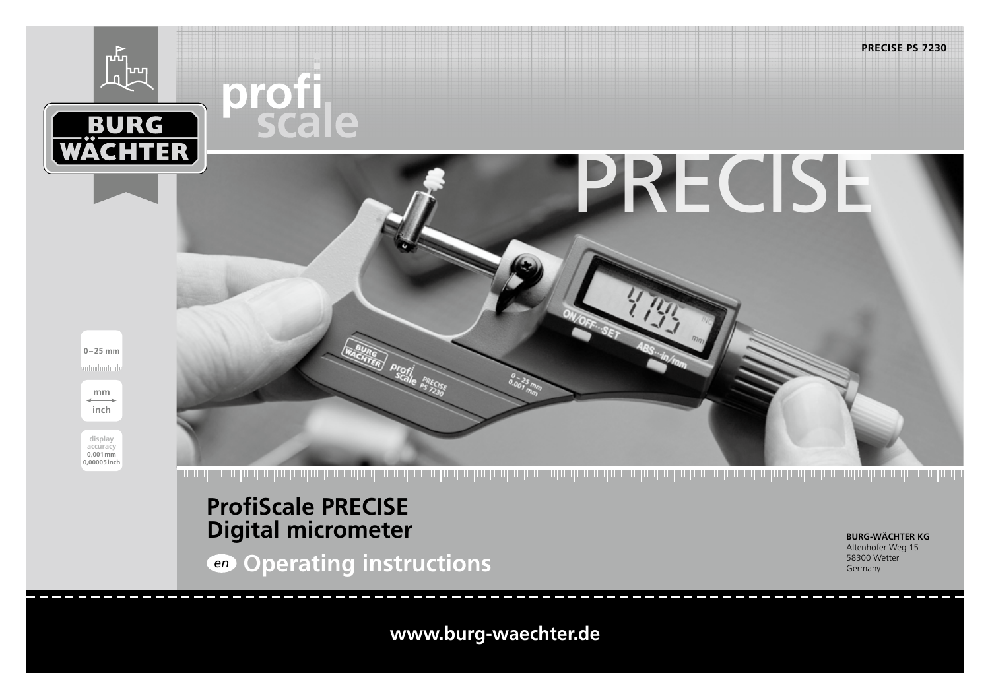

<u>in the formal motive for the formal motive formal motive formal motive formal motive formal motive formal motive formal motive formal motive formal motive formal motive formal motive</u>

# **ProfiScale PRECISE Digital micrometer**

*en* **Operating instructions**

**BURG-WÄCHTER KG** Altenhofer Weg 15 58300 Wetter Germany

**www.burg-waechter.de**